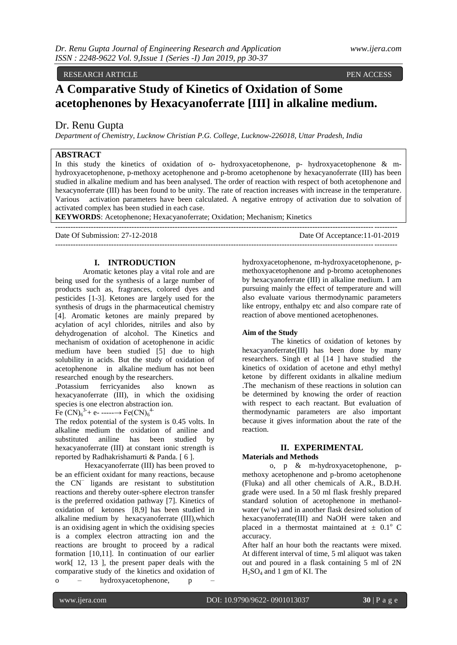# RESEARCH ARTICLE **PEN ACCESS**

# **A Comparative Study of Kinetics of Oxidation of Some acetophenones by Hexacyanoferrate [III] in alkaline medium.**

# Dr. Renu Gupta

*Department of Chemistry, Lucknow Christian P.G. College, Lucknow-226018, Uttar Pradesh, India*

# **ABSTRACT**

In this study the kinetics of oxidation of o- hydroxyacetophenone, p- hydroxyacetophenone & mhydroxyacetophenone, p-methoxy acetophenone and p-bromo acetophenone by hexacyanoferrate (III) has been studied in alkaline medium and has been analysed. The order of reaction with respect of both acetophenone and hexacynoferrate (III) has been found to be unity. The rate of reaction increases with increase in the temperature. Various activation parameters have been calculated. A negative entropy of activation due to solvation of activated complex has been studied in each case.

**KEYWORDS**: Acetophenone; Hexacyanoferrate; Oxidation; Mechanism; Kinetics

Date Of Submission: 27-12-2018 Date Of Acceptance:11-01-2019  $-1-\frac{1}{2}$ 

 $-1-\frac{1}{2}$ 

## **I. INTRODUCTION**

Aromatic ketones play a vital role and are being used for the synthesis of a large number of products such as, fragrances, colored dyes and pesticides [1-3]. Ketones are largely used for the synthesis of drugs in the pharmaceutical chemistry [4]. Aromatic ketones are mainly prepared by acylation of acyl chlorides, nitriles and also by dehydrogenation of alcohol. The Kinetics and mechanism of oxidation of acetophenone in acidic medium have been studied [5] due to high solubility in acids. But the study of oxidation of acetophenone in alkaline medium has not been researched enough by the researchers.

.Potassium ferricyanides also known as hexacyanoferrate (III), in which the oxidising species is one electron abstraction ion.

Fe  $(CN)_6^{3+}$  e- -------> Fe(CN)<sub>6</sub><sup>4</sup>

The redox potential of the system is 0.45 volts. In alkaline medium the oxidation of aniline and substituted aniline has been studied by hexacyanoferrate (III) at constant ionic strength is reported by Radhakrishamurti & Panda. [ 6 ].

Hexacyanoferrate (III) has been proved to be an efficient oxidant for many reactions, because the CN<sup>−</sup> ligands are resistant to substitution reactions and thereby outer-sphere electron transfer is the preferred oxidation pathway [7]. Kinetics of oxidation of ketones [8,9] has been studied in alkaline medium by hexacyanoferrate (III),which is an oxidising agent in which the oxidising species is a complex electron attracting ion and the reactions are brought to proceed by a radical formation [10,11]. In continuation of our earlier work[ 12, 13 ], the present paper deals with the comparative study of the kinetics and oxidation of o – hydroxyacetophenone, p –

hydroxyacetophenone, m-hydroxyacetophenone, pmethoxyacetophenone and p-bromo acetophenones by hexacyanoferrate (III) in alkaline medium. I am pursuing mainly the effect of temperature and will also evaluate various thermodynamic parameters like entropy, enthalpy etc and also compare rate of reaction of above mentioned acetophenones.

#### **Aim of the Study**

The kinetics of oxidation of ketones by hexacyanoferrate(III) has been done by many researchers. Singh et al [14 ] have studied the kinetics of oxidation of acetone and ethyl methyl ketone by different oxidants in alkaline medium .The mechanism of these reactions in solution can be determined by knowing the order of reaction with respect to each reactant. But evaluation of thermodynamic parameters are also important because it gives information about the rate of the reaction.

# **II. EXPERIMENTAL**

#### **Materials and Methods**

o, p & m-hydroxyacetophenone, pmethoxy acetophenone and p-bromo acetophenone (Fluka) and all other chemicals of A.R., B.D.H. grade were used. In a 50 ml flask freshly prepared standard solution of acetophenone in methanolwater (w/w) and in another flask desired solution of hexacyanoferrate(III) and NaOH were taken and placed in a thermostat maintained at  $\pm$  0.1<sup>o</sup> C accuracy.

After half an hour both the reactants were mixed. At different interval of time, 5 ml aliquot was taken out and poured in a flask containing 5 ml of 2N H2SO<sup>4</sup> and 1 gm of KI. The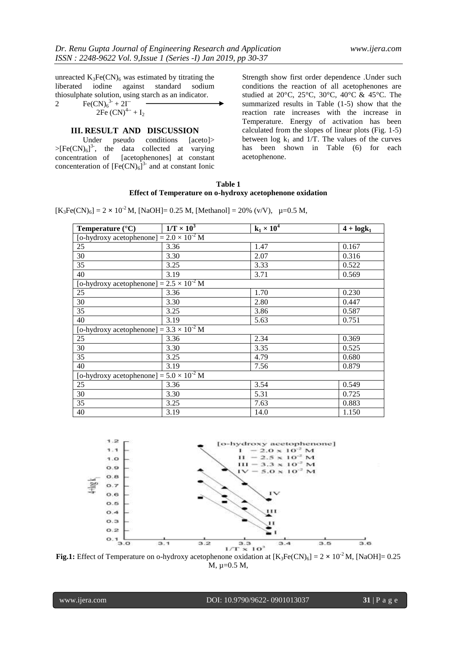unreacted  $K_3Fe(CN)_6$  was estimated by titrating the liberated iodine against standard sodium liberated iodine against standard thiosulphate solution, using starch as an indicator.

2 Fe(CN)<sup>6</sup> 3- + 2I-- 2Fe (CN)4-- + I<sup>2</sup>

#### **III. RESULT AND DISCUSSION**

Under pseudo conditions [aceto]>  $>[Fe(CN)<sub>6</sub>]$ <sup>3-</sup>, the data collected at varying concentration of [acetophenones] at constant concenteration of  $[Fe(CN)_6]^3$  and at constant Ionic

Strength show first order dependence .Under such conditions the reaction of all acetophenones are studied at 20°C, 25°C, 30°C, 40°C & 45°C. The summarized results in Table (1-5) show that the reaction rate increases with the increase in Temperature. Energy of activation has been calculated from the slopes of linear plots (Fig. 1-5) between  $\log k_1$  and 1/T. The values of the curves has been shown in Table (6) for each acetophenone.

#### **Table 1 Effect of Temperature on o-hydroxy acetophenone oxidation**

 $[K_3Fe(CN)_6] = 2 \times 10^{-2} M$ , [NaOH]= 0.25 M, [Methanol] = 20% (v/V),  $\mu$ =0.5 M,

| Temperature $(^{\circ}C)$                         | $1/T \times 10^3$                                 | $k_1 \times 10^4$ | $4 + log k_1$ |  |  |  |
|---------------------------------------------------|---------------------------------------------------|-------------------|---------------|--|--|--|
|                                                   | [o-hydroxy acetophenone] = $2.0 \times 10^{-2}$ M |                   |               |  |  |  |
| 25                                                | 3.36                                              | 1.47              | 0.167         |  |  |  |
| 30                                                | 3.30                                              | 2.07              | 0.316         |  |  |  |
| 35                                                | 3.25                                              | 3.33              | 0.522         |  |  |  |
| 40                                                | 3.19                                              | 3.71              | 0.569         |  |  |  |
| [o-hydroxy acetophenone] = $2.5 \times 10^{-2}$ M |                                                   |                   |               |  |  |  |
| 25                                                | 3.36                                              | 1.70              | 0.230         |  |  |  |
| 30                                                | 3.30                                              | 2.80              | 0.447         |  |  |  |
| 35                                                | 3.25                                              | 3.86              | 0.587         |  |  |  |
| 40                                                | 3.19                                              | 5.63              | 0.751         |  |  |  |
| [o-hydroxy acetophenone] = $3.3 \times 10^{-2}$ M |                                                   |                   |               |  |  |  |
| 25                                                | 3.36                                              | 2.34              | 0.369         |  |  |  |
| 30                                                | 3.30                                              | 3.35              | 0.525         |  |  |  |
| 35                                                | 3.25                                              | 4.79              | 0.680         |  |  |  |
| 40                                                | 3.19                                              | 7.56              | 0.879         |  |  |  |
| [o-hydroxy acetophenone] = $5.0 \times 10^{-2}$ M |                                                   |                   |               |  |  |  |
| 25                                                | 3.36                                              | 3.54              | 0.549         |  |  |  |
| 30                                                | 3.30                                              | 5.31              | 0.725         |  |  |  |
| 35                                                | 3.25                                              | 7.63              | 0.883         |  |  |  |
| 40                                                | 3.19                                              | 14.0              | 1.150         |  |  |  |



M, µ=0.5 M,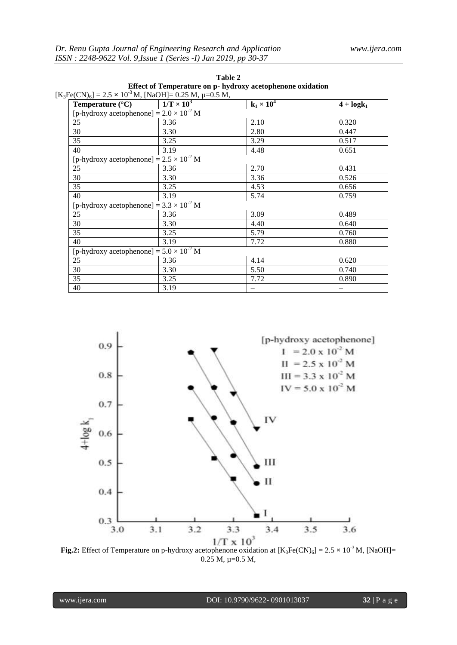|                                                            |                                                                   |                   | Table 2           |     |  |
|------------------------------------------------------------|-------------------------------------------------------------------|-------------------|-------------------|-----|--|
| Effect of Temperature on p- hydroxy acetophenone oxidation |                                                                   |                   |                   |     |  |
|                                                            | $[K_3Fe(CN)_6] = 2.5 \times 10^{-3} M$ , [NaOH]= 0.25 M, µ=0.5 M, |                   |                   |     |  |
|                                                            | <b>Temperature</b> $(^{\circ}C)$                                  | $1/T \times 10^3$ | $k_1 \times 10^4$ | 4 + |  |

| <b>Temperature</b> $(^{\circ}C)$                  | $1/T \times 10^3$                                 | $k_1 \times 10^4$ | $4 + log k_1$ |  |  |  |
|---------------------------------------------------|---------------------------------------------------|-------------------|---------------|--|--|--|
|                                                   | [p-hydroxy acetophenone] = $2.0 \times 10^{-2}$ M |                   |               |  |  |  |
| 25                                                | 3.36                                              | 2.10              | 0.320         |  |  |  |
| 30                                                | 3.30                                              | 2.80              | 0.447         |  |  |  |
| 35                                                | 3.25                                              | 3.29              | 0.517         |  |  |  |
| 40                                                | 3.19                                              | 4.48              | 0.651         |  |  |  |
| [p-hydroxy acetophenone] = $2.5 \times 10^{-2}$ M |                                                   |                   |               |  |  |  |
| 25                                                | 3.36                                              | 2.70              | 0.431         |  |  |  |
| 30                                                | 3.30                                              | 3.36              | 0.526         |  |  |  |
| $\overline{35}$                                   | 3.25                                              | 4.53              | 0.656         |  |  |  |
| 40                                                | 3.19                                              | 5.74              | 0.759         |  |  |  |
| [p-hydroxy acetophenone] = $3.3 \times 10^{-2}$ M |                                                   |                   |               |  |  |  |
| 25                                                | 3.36                                              | 3.09              | 0.489         |  |  |  |
| 30                                                | 3.30                                              | 4.40              | 0.640         |  |  |  |
| 35                                                | 3.25                                              | 5.79              | 0.760         |  |  |  |
| 40                                                | 3.19                                              | 7.72              | 0.880         |  |  |  |
| [p-hydroxy acetophenone] = $5.0 \times 10^{-2}$ M |                                                   |                   |               |  |  |  |
| 25                                                | 3.36                                              | 4.14              | 0.620         |  |  |  |
| 30                                                | 3.30                                              | 5.50              | 0.740         |  |  |  |
| 35                                                | 3.25                                              | 7.72              | 0.890         |  |  |  |
| 40                                                | 3.19                                              |                   |               |  |  |  |



 $0.25$  M,  $\mu=0.5$  M,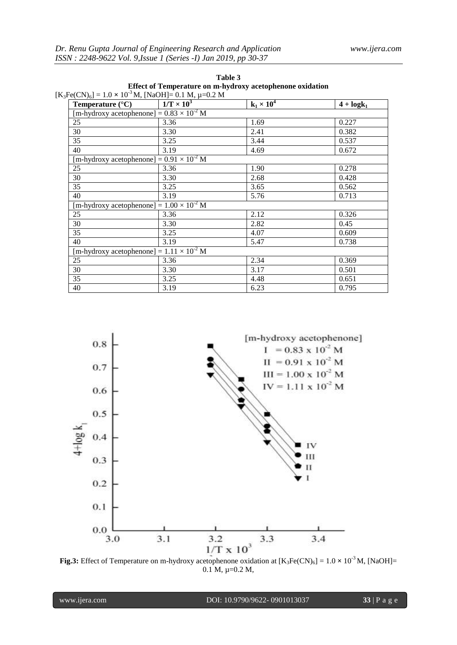| Table 3 |                                                           |
|---------|-----------------------------------------------------------|
|         | Effect of Temperature on m-hydroxy acetophenone oxidation |

|                           | $[K_3Fe(CN)_6] = 1.0 \times 10^{-3} M$ , [NaOH]= 0.1 M, $\mu$ =0.2 M |                   |               |
|---------------------------|----------------------------------------------------------------------|-------------------|---------------|
| Temperature $(^{\circ}C)$ | $1/T \times 10^3$                                                    | $k_1 \times 10^4$ | $4 + log k_1$ |
|                           | [m-hydroxy acetophenone] $= 0.83 \times 10^{-2}$ M                   |                   |               |
| 25                        | 3.36                                                                 | 1.69              | 0.227         |
| 30                        | 3.30                                                                 | 2.41              | 0.382         |
| 35                        | 3.25                                                                 | 3.44              | 0.537         |
| 40                        | 3.19                                                                 | 4.69              | 0.672         |
|                           | [m-hydroxy acetophenone] = $0.91 \times \overline{10^{-2} M}$        |                   |               |
| 25                        | 3.36                                                                 | 1.90              | 0.278         |
| 30                        | 3.30                                                                 | 2.68              | 0.428         |
| 35                        | 3.25                                                                 | 3.65              | 0.562         |
| 40                        | 3.19                                                                 | 5.76              | 0.713         |
|                           | [m-hydroxy acetophenone] = $1.00 \times 10^{-2}$ M                   |                   |               |
| 25                        | 3.36                                                                 | 2.12              | 0.326         |
| 30                        | 3.30                                                                 | 2.82              | 0.45          |
| 35                        | 3.25                                                                 | 4.07              | 0.609         |
| 40                        | 3.19                                                                 | 5.47              | 0.738         |
|                           | [m-hydroxy acetophenone] = $1.11 \times 10^{-2}$ M                   |                   |               |
| 25                        | 3.36                                                                 | 2.34              | 0.369         |
| 30                        | 3.30                                                                 | 3.17              | 0.501         |
| 35                        | 3.25                                                                 | 4.48              | 0.651         |
| 40                        | 3.19                                                                 | 6.23              | 0.795         |



0.1 M, µ=0.2 M,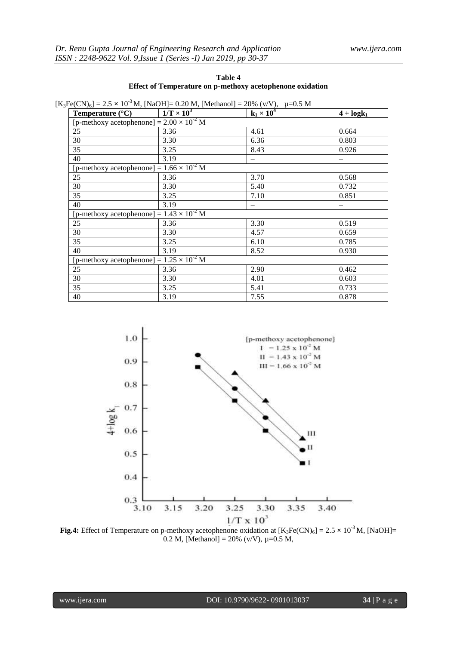| Table 4                                                   |
|-----------------------------------------------------------|
| Effect of Temperature on p-methoxy acetophenone oxidation |

 $[K_3Fe(CN)_6] = 2.5 \times 10^{-3}$  M, [NaOH]= 0.20 M, [Methanol] = 20% (v/V),  $\mu$ =0.5 M

| Temperature $(^{\circ}C)$                          | $1/T \times 10^3$ | $k_1 \times 10^4$ | $4 + log k_1$ |
|----------------------------------------------------|-------------------|-------------------|---------------|
| [p-methoxy acetophenone] = $2.00 \times 10^{-2}$ M |                   |                   |               |
| 25                                                 | 3.36              | 4.61              | 0.664         |
| 30                                                 | 3.30              | 6.36              | 0.803         |
| 35                                                 | 3.25              | 8.43              | 0.926         |
| 40                                                 | 3.19              |                   |               |
| [p-methoxy acetophenone] = $1.66 \times 10^{-2}$ M |                   |                   |               |
| 25                                                 | 3.36              | 3.70              | 0.568         |
| 30                                                 | 3.30              | 5.40              | 0.732         |
| 35                                                 | 3.25              | 7.10              | 0.851         |
| 40                                                 | 3.19              |                   |               |
| [p-methoxy acetophenone] $= 1.43 \times 10^{-2}$ M |                   |                   |               |
| 25                                                 | 3.36              | 3.30              | 0.519         |
| 30                                                 | 3.30              | 4.57              | 0.659         |
| 35                                                 | 3.25              | 6.10              | 0.785         |
| 40                                                 | 3.19              | 8.52              | 0.930         |
| [p-methoxy acetophenone] = $1.25 \times 10^{-2}$ M |                   |                   |               |
| 25                                                 | 3.36              | 2.90              | 0.462         |
| 30                                                 | 3.30              | 4.01              | 0.603         |
| 35                                                 | 3.25              | 5.41              | 0.733         |
| 40                                                 | 3.19              | 7.55              | 0.878         |



0.2 M, [Methanol] = 20% (v/V),  $\mu$ =0.5 M,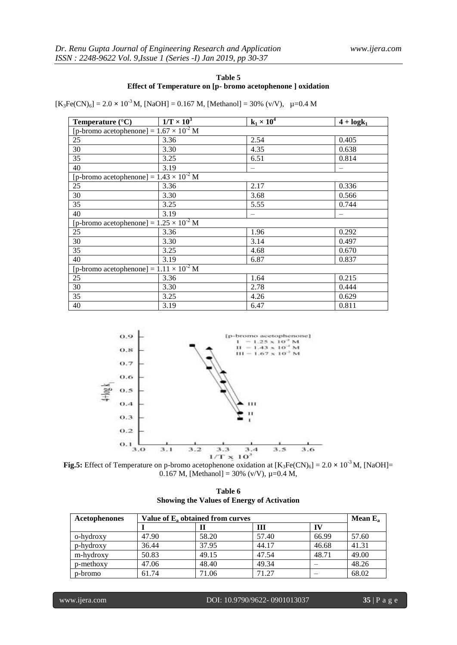# **Table 5 Effect of Temperature on [p- bromo acetophenone ] oxidation**

 $[K_3Fe(CN)_6] = 2.0 \times 10^{-3} M$ , [NaOH] = 0.167 M, [Methanol] = 30% (v/V),  $\mu$ =0.4 M

| Temperature $(^{\circ}C)$                        | $1/T \times 10^3$                                | $k_1 \times 10^4$ | $4 + log k_1$ |  |  |  |
|--------------------------------------------------|--------------------------------------------------|-------------------|---------------|--|--|--|
|                                                  | [p-bromo acetophenone] = $1.67 \times 10^{-2}$ M |                   |               |  |  |  |
| 25                                               | 3.36                                             | 2.54              | 0.405         |  |  |  |
| 30                                               | 3.30                                             | 4.35              | 0.638         |  |  |  |
| 35                                               | 3.25                                             | 6.51              | 0.814         |  |  |  |
| 40                                               | 3.19                                             |                   |               |  |  |  |
| [p-bromo acetophenone] = $1.43 \times 10^{-2}$ M |                                                  |                   |               |  |  |  |
| 25                                               | 3.36                                             | 2.17              | 0.336         |  |  |  |
| 30                                               | 3.30                                             | 3.68              | 0.566         |  |  |  |
| 35                                               | 3.25                                             | 5.55              | 0.744         |  |  |  |
| 40                                               | 3.19                                             |                   |               |  |  |  |
| [p-bromo acetophenone] = $1.25 \times 10^{-2}$ M |                                                  |                   |               |  |  |  |
| 25                                               | 3.36                                             | 1.96              | 0.292         |  |  |  |
| 30                                               | 3.30                                             | 3.14              | 0.497         |  |  |  |
| 35                                               | 3.25                                             | 4.68              | 0.670         |  |  |  |
| 40                                               | 3.19                                             | 6.87              | 0.837         |  |  |  |
| [p-bromo acetophenone] = $1.11 \times 10^{-2}$ M |                                                  |                   |               |  |  |  |
| 25                                               | 3.36                                             | 1.64              | 0.215         |  |  |  |
| 30                                               | 3.30                                             | 2.78              | 0.444         |  |  |  |
| 35                                               | 3.25                                             | 4.26              | 0.629         |  |  |  |
| 40                                               | 3.19                                             | 6.47              | 0.811         |  |  |  |



**Fig.5:** Effect of Temperature on p-bromo acetophenone oxidation at  $[K_3Fe(CN)_6] = 2.0 \times 10^{-3}$  M, [NaOH]= 0.167 M, [Methanol] = 30% (v/V),  $\mu$ =0.4 M,

|                                                   |  | Table 6 |  |  |
|---------------------------------------------------|--|---------|--|--|
| <b>Showing the Values of Energy of Activation</b> |  |         |  |  |

| Acetophenones |       | Value of E <sub>2</sub> obtained from curves |       |       |       |
|---------------|-------|----------------------------------------------|-------|-------|-------|
|               |       |                                              | Ш     | П     |       |
| o-hydroxy     | 47.90 | 58.20                                        | 57.40 | 66.99 | 57.60 |
| p-hydroxy     | 36.44 | 37.95                                        | 44.17 | 46.68 | 41.31 |
| m-hydroxy     | 50.83 | 49.15                                        | 47.54 | 48.71 | 49.00 |
| p-methoxy     | 47.06 | 48.40                                        | 49.34 |       | 48.26 |
| p-bromo       | 61.74 | 71.06                                        | 71.27 |       | 68.02 |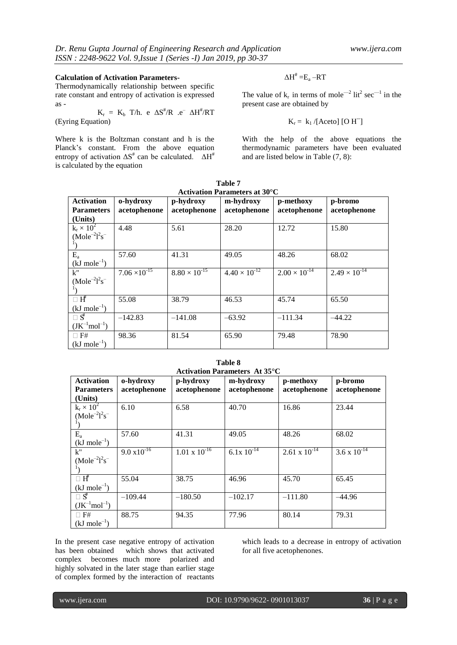# **Calculation of Activation Parameters-**

Thermodynamically relationship between specific rate constant and entropy of activation is expressed as -  $\mu = \frac{1}{\sqrt{2}}$ 

$$
K_r = K_b \text{ T/h. } e \Delta S^{\#}/R \text{ .} e^- \Delta H^{\#}/RT
$$
 (Eyring Equation)

Where k is the Boltzman constant and h is the Planck's constant. From the above equation entropy of activation  $\Delta S^*$  can be calculated.  $\Delta H^*$ is calculated by the equation

$$
\Delta H^{\#} = E_a - RT
$$

The value of  $k_r$  in terms of mole<sup>-2</sup> lit<sup>2</sup> sec<sup>-1</sup> in the present case are obtained by

$$
K_r = k_1 / [Aceto] [O H^-]
$$

With the help of the above equations the thermodynamic parameters have been evaluated and are listed below in Table (7, 8):

| <b>Activation Parameters at 30°C</b> |                        |                        |                        |                        |                        |  |
|--------------------------------------|------------------------|------------------------|------------------------|------------------------|------------------------|--|
| <b>Activation</b>                    | o-hydroxy              | p-hydroxy              | m-hydroxy              | p-methoxy              | p-bromo                |  |
| <b>Parameters</b>                    | acetophenone           | acetophenone           | acetophenone           | acetophenone           | acetophenone           |  |
| (Units)                              |                        |                        |                        |                        |                        |  |
| $k_r \times 10^2$                    | 4.48                   | 5.61                   | 28.20                  | 12.72                  | 15.80                  |  |
| $(Mole^{-2}l^2s^-$                   |                        |                        |                        |                        |                        |  |
|                                      |                        |                        |                        |                        |                        |  |
| $E_{a}$                              | 57.60                  | 41.31                  | 49.05                  | 48.26                  | 68.02                  |  |
| $(kJ \text{ mole}^{-1})$             |                        |                        |                        |                        |                        |  |
| $k$ "                                | $7.06 \times 10^{-15}$ | $8.80 \times 10^{-15}$ | $4.40 \times 10^{-12}$ | $2.00 \times 10^{-14}$ | $2.49 \times 10^{-14}$ |  |
| $(Mole^{-2}l^{2}s^{-1})$             |                        |                        |                        |                        |                        |  |
|                                      |                        |                        |                        |                        |                        |  |
| $\Box$ $H^{\sharp}$                  | 55.08                  | 38.79                  | 46.53                  | 45.74                  | 65.50                  |  |
| $(kJ \text{ mole}^{-1})$             |                        |                        |                        |                        |                        |  |
| $\Box$ $S^*$                         | $-142.83$              | $-141.08$              | $-63.92$               | $-111.34$              | $-44.22$               |  |
| $(JK^{-1}mol^{-1})$                  |                        |                        |                        |                        |                        |  |
| $\Box$ F#                            | 98.36                  | 81.54                  | 65.90                  | 79.48                  | 78.90                  |  |
| $(kJ \text{ mole}^{-1})$             |                        |                        |                        |                        |                        |  |

**Table 7**

| Table 8                  |                                                             |                        |                                            |                        |                       |  |  |
|--------------------------|-------------------------------------------------------------|------------------------|--------------------------------------------|------------------------|-----------------------|--|--|
|                          |                                                             |                        | Activation Parameters At 35 <sup>o</sup> C |                        |                       |  |  |
| <b>Activation</b>        | o-hydroxy<br>m-hydroxy<br>p-methoxy<br>p-hydroxy<br>p-bromo |                        |                                            |                        |                       |  |  |
| <b>Parameters</b>        | acetophenone                                                | acetophenone           | acetophenone                               | acetophenone           | acetophenone          |  |  |
| (Units)                  |                                                             |                        |                                            |                        |                       |  |  |
| $k_r \times 10^2$        | 6.10                                                        | 6.58                   | 40.70                                      | 16.86                  | 23.44                 |  |  |
| $(Mole^{-2}l^{2}s^{-1})$ |                                                             |                        |                                            |                        |                       |  |  |
|                          |                                                             |                        |                                            |                        |                       |  |  |
| $E_a$                    | 57.60                                                       | 41.31                  | 49.05                                      | 48.26                  | 68.02                 |  |  |
| $(kJ \text{ mole}^{-1})$ |                                                             |                        |                                            |                        |                       |  |  |
| $k$ "                    | $9.0 \overline{x10^{-16}}$                                  | $1.01 \times 10^{-16}$ | $6.\overline{1x} 10^{-14}$                 | $2.61 \times 10^{-14}$ | $3.6 \times 10^{-14}$ |  |  |
| $(Mole^{-2}l^{2}s^{-1})$ |                                                             |                        |                                            |                        |                       |  |  |
|                          |                                                             |                        |                                            |                        |                       |  |  |
| $\Box$ H                 | 55.04                                                       | 38.75                  | 46.96                                      | 45.70                  | 65.45                 |  |  |
| $(kJ \text{ mole}^{-1})$ |                                                             |                        |                                            |                        |                       |  |  |
| $\Box$ $S^*$             | $-109.44$                                                   | $-180.50$              | $-102.17$                                  | $-111.80$              | $-44.96$              |  |  |
| $(JK^{-1}mol^{-1})$      |                                                             |                        |                                            |                        |                       |  |  |
| $\Box$ F#                | 88.75                                                       | 94.35                  | 77.96                                      | 80.14                  | 79.31                 |  |  |
| $(kJ \text{ mole}^{-1})$ |                                                             |                        |                                            |                        |                       |  |  |

In the present case negative entropy of activation has been obtained which shows that activated complex becomes much more polarized and highly solvated in the later stage than earlier stage of complex formed by the interaction of reactants

which leads to a decrease in entropy of activation for all five acetophenones.